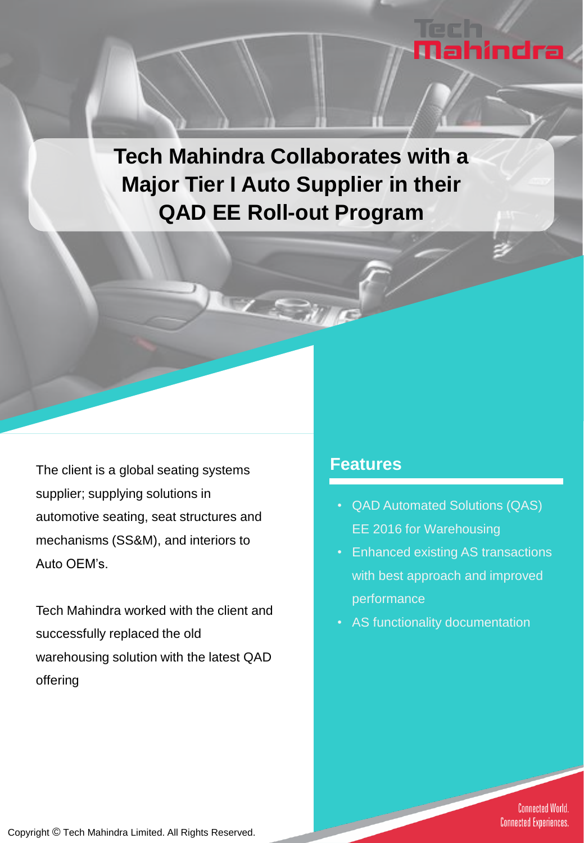# **Tech Mahindra Collaborates with a Major Tier I Auto Supplier in their QAD EE Roll-out Program**

The client is a global seating systems supplier; supplying solutions in automotive seating, seat structures and mechanisms (SS&M), and interiors to Auto OEM's.

Tech Mahindra worked with the client and successfully replaced the old warehousing solution with the latest QAD offering

### **Features**

• QAD Automated Solutions (QAS) EE 2016 for Warehousing

Mahindra

- Enhanced existing AS transactions with best approach and improved performance
- AS functionality documentation

**Connected World. Connected Experiences.**